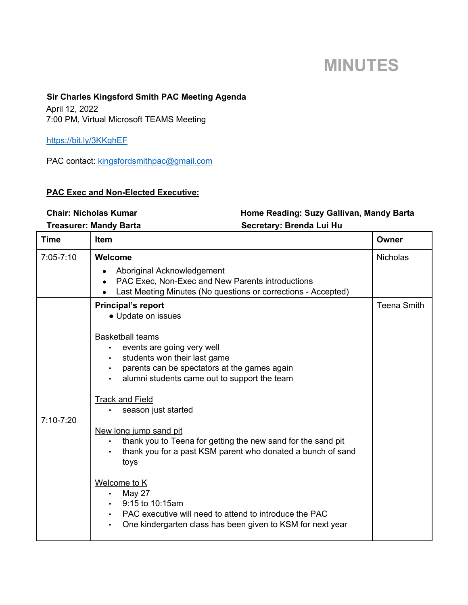# **MINUTES**

### **Sir Charles Kingsford Smith PAC Meeting Agenda**

April 12, 2022 7:00 PM, Virtual Microsoft TEAMS Meeting

https://bit.ly/3KKghEF

PAC contact: kingsfordsmithpac@gmail.com

#### **PAC Exec and Non-Elected Executive:**

## Chair: Nicholas Kumar **Home Reading: Suzy Gallivan, Mandy Barta**

| Treasurer: Mandy Barta |  |  |
|------------------------|--|--|

Secretary: Brenda Lui Hu

| <b>Time</b>   | <b>Item</b>                                                                                                                                                                           | Owner              |
|---------------|---------------------------------------------------------------------------------------------------------------------------------------------------------------------------------------|--------------------|
| 7:05-7:10     | Welcome                                                                                                                                                                               | <b>Nicholas</b>    |
|               | Aboriginal Acknowledgement<br>PAC Exec, Non-Exec and New Parents introductions<br>$\bullet$<br>Last Meeting Minutes (No questions or corrections - Accepted)                          |                    |
| $7:10 - 7:20$ | <b>Principal's report</b><br>• Update on issues                                                                                                                                       | <b>Teena Smith</b> |
|               | <b>Basketball teams</b><br>events are going very well<br>$\bullet$ . The set of $\bullet$                                                                                             |                    |
|               | students won their last game                                                                                                                                                          |                    |
|               | parents can be spectators at the games again<br>alumni students came out to support the team                                                                                          |                    |
|               | <b>Track and Field</b><br>season just started                                                                                                                                         |                    |
|               | New long jump sand pit<br>thank you to Teena for getting the new sand for the sand pit<br>thank you for a past KSM parent who donated a bunch of sand<br>toys                         |                    |
|               | Welcome to K<br><b>May 27</b><br>$\bullet$<br>9:15 to 10:15am<br>PAC executive will need to attend to introduce the PAC<br>One kindergarten class has been given to KSM for next year |                    |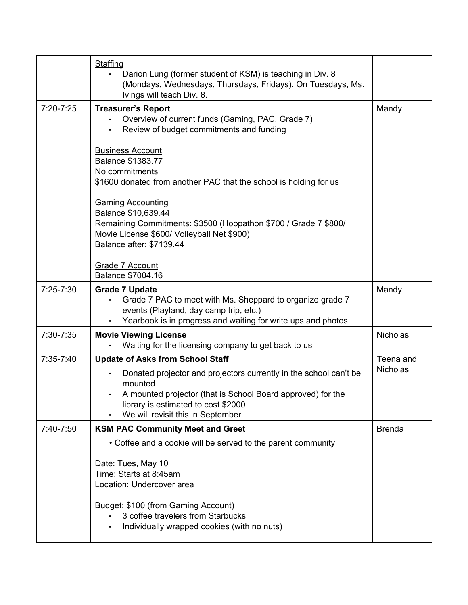|               | Staffing<br>Darion Lung (former student of KSM) is teaching in Div. 8<br>(Mondays, Wednesdays, Thursdays, Fridays). On Tuesdays, Ms.<br>Ivings will teach Div. 8.                                                                                                  |                              |
|---------------|--------------------------------------------------------------------------------------------------------------------------------------------------------------------------------------------------------------------------------------------------------------------|------------------------------|
| $7:20 - 7:25$ | <b>Treasurer's Report</b><br>Overview of current funds (Gaming, PAC, Grade 7)<br>Review of budget commitments and funding<br>$\bullet$                                                                                                                             | Mandy                        |
|               | <b>Business Account</b><br><b>Balance \$1383.77</b><br>No commitments<br>\$1600 donated from another PAC that the school is holding for us                                                                                                                         |                              |
|               | <b>Gaming Accounting</b><br>Balance \$10,639.44<br>Remaining Commitments: \$3500 (Hoopathon \$700 / Grade 7 \$800/<br>Movie License \$600/ Volleyball Net \$900)<br>Balance after: \$7139.44                                                                       |                              |
|               | <b>Grade 7 Account</b><br>Balance \$7004.16                                                                                                                                                                                                                        |                              |
| $7:25 - 7:30$ | <b>Grade 7 Update</b><br>Grade 7 PAC to meet with Ms. Sheppard to organize grade 7<br>events (Playland, day camp trip, etc.)<br>Yearbook is in progress and waiting for write ups and photos                                                                       | Mandy                        |
| 7:30-7:35     | <b>Movie Viewing License</b><br>Waiting for the licensing company to get back to us                                                                                                                                                                                | <b>Nicholas</b>              |
| 7:35-7:40     | <b>Update of Asks from School Staff</b><br>Donated projector and projectors currently in the school can't be<br>mounted<br>A mounted projector (that is School Board approved) for the<br>library is estimated to cost \$2000<br>We will revisit this in September | Teena and<br><b>Nicholas</b> |
| 7:40-7:50     | <b>KSM PAC Community Meet and Greet</b>                                                                                                                                                                                                                            | <b>Brenda</b>                |
|               | • Coffee and a cookie will be served to the parent community                                                                                                                                                                                                       |                              |
|               | Date: Tues, May 10<br>Time: Starts at 8:45am<br>Location: Undercover area<br>Budget: \$100 (from Gaming Account)<br>3 coffee travelers from Starbucks                                                                                                              |                              |
|               | Individually wrapped cookies (with no nuts)                                                                                                                                                                                                                        |                              |